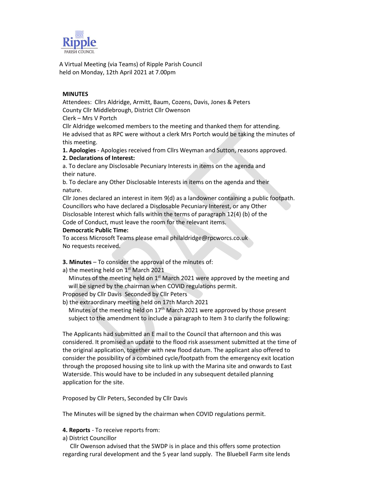

A Virtual Meeting (via Teams) of Ripple Parish Council held on Monday, 12th April 2021 at 7.00pm

# MINUTES

Attendees: Cllrs Aldridge, Armitt, Baum, Cozens, Davis, Jones & Peters County Cllr Middlebrough, District Cllr Owenson Clerk – Mrs V Portch

Cllr Aldridge welcomed members to the meeting and thanked them for attending. He advised that as RPC were without a clerk Mrs Portch would be taking the minutes of this meeting.

1. Apologies - Apologies received from Cllrs Weyman and Sutton, reasons approved.

## 2. Declarations of Interest:

a. To declare any Disclosable Pecuniary Interests in items on the agenda and their nature.

b. To declare any Other Disclosable Interests in items on the agenda and their nature.

Cllr Jones declared an interest in item 9(d) as a landowner containing a public footpath. Councillors who have declared a Disclosable Pecuniary Interest, or any Other Disclosable Interest which falls within the terms of paragraph 12(4) (b) of the Code of Conduct, must leave the room for the relevant items.

## Democratic Public Time:

To access Microsoft Teams please email philaldridge@rpcworcs.co.uk No requests received.

- 3. Minutes To consider the approval of the minutes of:
- a) the meeting held on  $1<sup>st</sup>$  March 2021

Minutes of the meeting held on 1<sup>st</sup> March 2021 were approved by the meeting and will be signed by the chairman when COVID regulations permit.

- Proposed by Cllr Davis Seconded by Cllr Peters
- b) the extraordinary meeting held on 17th March 2021

Minutes of the meeting held on  $17<sup>th</sup>$  March 2021 were approved by those present subject to the amendment to include a paragraph to Item 3 to clarify the following:

The Applicants had submitted an E mail to the Council that afternoon and this was considered. It promised an update to the flood risk assessment submitted at the time of the original application, together with new flood datum. The applicant also offered to consider the possibility of a combined cycle/footpath from the emergency exit location through the proposed housing site to link up with the Marina site and onwards to East Waterside. This would have to be included in any subsequent detailed planning application for the site.

Proposed by Cllr Peters, Seconded by Cllr Davis

The Minutes will be signed by the chairman when COVID regulations permit.

## 4. Reports - To receive reports from:

a) District Councillor

 Cllr Owenson advised that the SWDP is in place and this offers some protection regarding rural development and the 5 year land supply. The Bluebell Farm site lends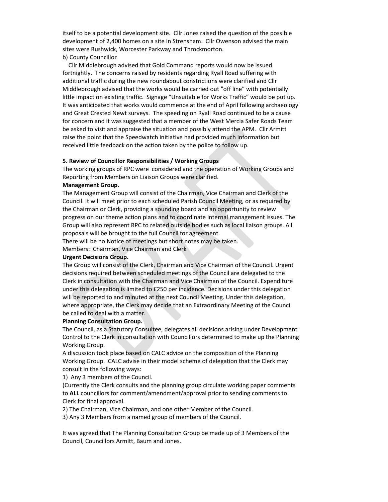itself to be a potential development site. Cllr Jones raised the question of the possible development of 2,400 homes on a site in Strensham. Cllr Owenson advised the main sites were Rushwick, Worcester Parkway and Throckmorton.

### b) County Councillor

 Cllr Middlebrough advised that Gold Command reports would now be issued fortnightly. The concerns raised by residents regarding Ryall Road suffering with additional traffic during the new roundabout constrictions were clarified and Cllr Middlebrough advised that the works would be carried out "off line" with potentially little impact on existing traffic. Signage "Unsuitable for Works Traffic" would be put up. It was anticipated that works would commence at the end of April following archaeology and Great Crested Newt surveys. The speeding on Ryall Road continued to be a cause for concern and it was suggested that a member of the West Mercia Safer Roads Team be asked to visit and appraise the situation and possibly attend the APM. Cllr Armitt raise the point that the Speedwatch initiative had provided much information but received little feedback on the action taken by the police to follow up.

#### 5. Review of Councillor Responsibilities / Working Groups

The working groups of RPC were considered and the operation of Working Groups and Reporting from Members on Liaison Groups were clarified.

#### Management Group.

The Management Group will consist of the Chairman, Vice Chairman and Clerk of the Council. It will meet prior to each scheduled Parish Council Meeting, or as required by the Chairman or Clerk, providing a sounding board and an opportunity to review progress on our theme action plans and to coordinate internal management issues. The Group will also represent RPC to related outside bodies such as local liaison groups. All proposals will be brought to the full Council for agreement.

There will be no Notice of meetings but short notes may be taken.

Members: Chairman, Vice Chairman and Clerk

## Urgent Decisions Group.

The Group will consist of the Clerk, Chairman and Vice Chairman of the Council. Urgent decisions required between scheduled meetings of the Council are delegated to the Clerk in consultation with the Chairman and Vice Chairman of the Council. Expenditure under this delegation is limited to £250 per incidence. Decisions under this delegation will be reported to and minuted at the next Council Meeting. Under this delegation, where appropriate, the Clerk may decide that an Extraordinary Meeting of the Council be called to deal with a matter.

#### Planning Consultation Group.

The Council, as a Statutory Consultee, delegates all decisions arising under Development Control to the Clerk in consultation with Councillors determined to make up the Planning Working Group.

A discussion took place based on CALC advice on the composition of the Planning Working Group. CALC advise in their model scheme of delegation that the Clerk may consult in the following ways:

1) Any 3 members of the Council.

(Currently the Clerk consults and the planning group circulate working paper comments to ALL councillors for comment/amendment/approval prior to sending comments to Clerk for final approval.

2) The Chairman, Vice Chairman, and one other Member of the Council.

3) Any 3 Members from a named group of members of the Council.

It was agreed that The Planning Consultation Group be made up of 3 Members of the Council, Councillors Armitt, Baum and Jones.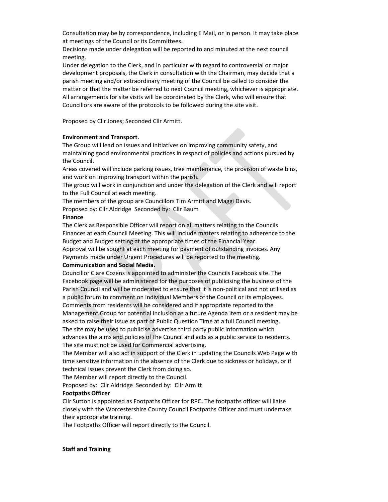Consultation may be by correspondence, including E Mail, or in person. It may take place at meetings of the Council or its Committees.

Decisions made under delegation will be reported to and minuted at the next council meeting.

Under delegation to the Clerk, and in particular with regard to controversial or major development proposals, the Clerk in consultation with the Chairman, may decide that a parish meeting and/or extraordinary meeting of the Council be called to consider the matter or that the matter be referred to next Council meeting, whichever is appropriate. All arrangements for site visits will be coordinated by the Clerk, who will ensure that Councillors are aware of the protocols to be followed during the site visit.

Proposed by Cllr Jones; Seconded Cllr Armitt.

## Environment and Transport.

The Group will lead on issues and initiatives on improving community safety, and maintaining good environmental practices in respect of policies and actions pursued by the Council.

Areas covered will include parking issues, tree maintenance, the provision of waste bins, and work on improving transport within the parish.

The group will work in conjunction and under the delegation of the Clerk and will report to the Full Council at each meeting.

The members of the group are Councillors Tim Armitt and Maggi Davis.

Proposed by: Cllr Aldridge Seconded by: Cllr Baum

### Finance

The Clerk as Responsible Officer will report on all matters relating to the Councils Finances at each Council Meeting. This will include matters relating to adherence to the Budget and Budget setting at the appropriate times of the Financial Year.

Approval will be sought at each meeting for payment of outstanding invoices. Any Payments made under Urgent Procedures will be reported to the meeting.

# Communication and Social Media.

Councillor Clare Cozens is appointed to administer the Councils Facebook site. The Facebook page will be administered for the purposes of publicising the business of the Parish Council and will be moderated to ensure that it is non-political and not utilised as a public forum to comment on individual Members of the Council or its employees. Comments from residents will be considered and if appropriate reported to the Management Group for potential inclusion as a future Agenda item or a resident may be asked to raise their issue as part of Public Question Time at a full Council meeting. The site may be used to publicise advertise third party public information which advances the aims and policies of the Council and acts as a public service to residents. The site must not be used for Commercial advertising.

The Member will also act in support of the Clerk in updating the Councils Web Page with time sensitive information in the absence of the Clerk due to sickness or holidays, or if technical issues prevent the Clerk from doing so.

The Member will report directly to the Council.

Proposed by: Cllr Aldridge Seconded by: Cllr Armitt

## Footpaths Officer

Cllr Sutton is appointed as Footpaths Officer for RPC. The footpaths officer will liaise closely with the Worcestershire County Council Footpaths Officer and must undertake their appropriate training.

The Footpaths Officer will report directly to the Council.

### Staff and Training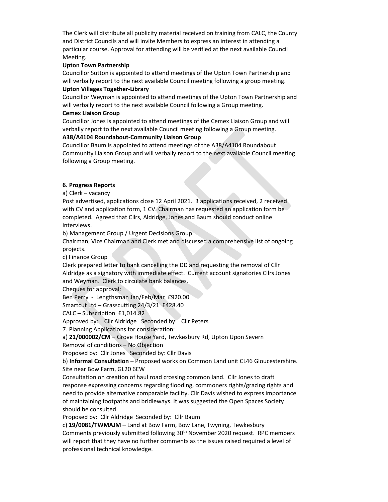The Clerk will distribute all publicity material received on training from CALC, the County and District Councils and will invite Members to express an interest in attending a particular course. Approval for attending will be verified at the next available Council Meeting.

### Upton Town Partnership

Councillor Sutton is appointed to attend meetings of the Upton Town Partnership and will verbally report to the next available Council meeting following a group meeting.

#### Upton Villages Together-Library

Councillor Weyman is appointed to attend meetings of the Upton Town Partnership and will verbally report to the next available Council following a Group meeting.

### Cemex Liaison Group

Councillor Jones is appointed to attend meetings of the Cemex Liaison Group and will verbally report to the next available Council meeting following a Group meeting.

## A38/A4104 Roundabout-Community Liaison Group

Councillor Baum is appointed to attend meetings of the A38/A4104 Roundabout Community Liaison Group and will verbally report to the next available Council meeting following a Group meeting.

## 6. Progress Reports

a) Clerk – vacancy

Post advertised, applications close 12 April 2021. 3 applications received, 2 received with CV and application form, 1 CV. Chairman has requested an application form be completed. Agreed that Cllrs, Aldridge, Jones and Baum should conduct online interviews.

b) Management Group / Urgent Decisions Group

Chairman, Vice Chairman and Clerk met and discussed a comprehensive list of ongoing projects.

c) Finance Group

Clerk prepared letter to bank cancelling the DD and requesting the removal of Cllr Aldridge as a signatory with immediate effect. Current account signatories Cllrs Jones and Weyman. Clerk to circulate bank balances.

Cheques for approval:

Ben Perry - Lengthsman Jan/Feb/Mar £920.00

Smartcut Ltd – Grasscutting 24/3/21 £428.40

CALC – Subscription £1,014.82

Approved by: Cllr Aldridge Seconded by: Cllr Peters

7. Planning Applications for consideration:

a) 21/000002/CM – Grove House Yard, Tewkesbury Rd, Upton Upon Severn

Removal of conditions – No Objection

Proposed by: Cllr Jones Seconded by: Cllr Davis

b) Informal Consultation  $-\overline{\text{Proposed}}$  works on Common Land unit CL46 Gloucestershire. Site near Bow Farm, GL20 6EW

Consultation on creation of haul road crossing common land. Cllr Jones to draft response expressing concerns regarding flooding, commoners rights/grazing rights and need to provide alternative comparable facility. Cllr Davis wished to express importance of maintaining footpaths and bridleways. It was suggested the Open Spaces Society should be consulted.

Proposed by: Cllr Aldridge Seconded by: Cllr Baum

c) 19/0081/TWMAJM – Land at Bow Farm, Bow Lane, Twyning, Tewkesbury Comments previously submitted following 30th November 2020 request. RPC members will report that they have no further comments as the issues raised required a level of professional technical knowledge.